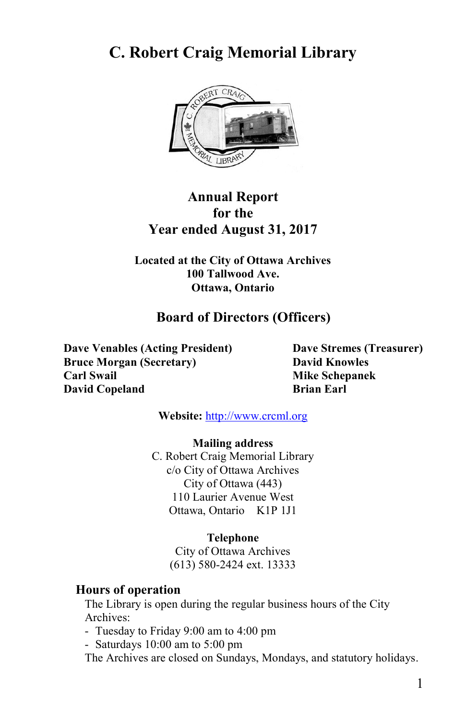# **C. Robert Craig Memorial Library**



# **Annual Report for the Year ended August 31, 2017**

**Located at the City of Ottawa Archives 100 Tallwood Ave. Ottawa, Ontario**

# **Board of Directors (Officers)**

**Dave Venables (Acting President) Dave Stremes (Treasurer) Bruce Morgan (Secretary) David Knowles Carl Swail Mike Schepanek David Copeland Brian Earl** 

**Website:** [http://www.crcml.org](http://www.crcml.org/)

#### **Mailing address**

C. Robert Craig Memorial Library c/o City of Ottawa Archives City of Ottawa (443) 110 Laurier Avenue West Ottawa, Ontario K1P 1J1

#### **Telephone**

City of Ottawa Archives (613) 580-2424 ext. 13333

#### **Hours of operation**

The Library is open during the regular business hours of the City Archives:

- Tuesday to Friday 9:00 am to 4:00 pm
- Saturdays 10:00 am to 5:00 pm

The Archives are closed on Sundays, Mondays, and statutory holidays.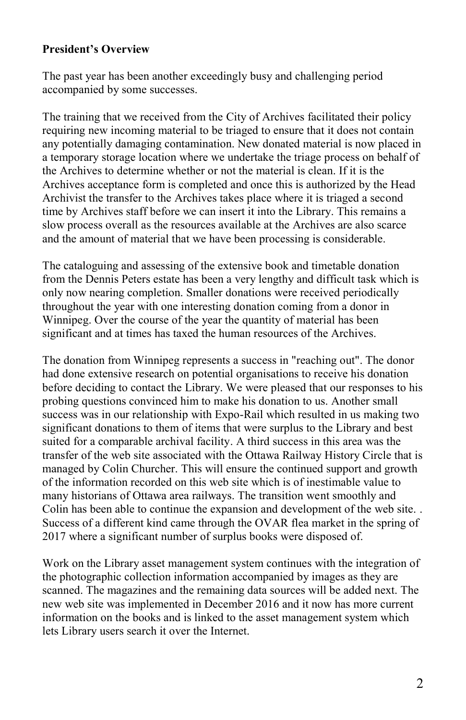### **President's Overview**

The past year has been another exceedingly busy and challenging period accompanied by some successes.

The training that we received from the City of Archives facilitated their policy requiring new incoming material to be triaged to ensure that it does not contain any potentially damaging contamination. New donated material is now placed in a temporary storage location where we undertake the triage process on behalf of the Archives to determine whether or not the material is clean. If it is the Archives acceptance form is completed and once this is authorized by the Head Archivist the transfer to the Archives takes place where it is triaged a second time by Archives staff before we can insert it into the Library. This remains a slow process overall as the resources available at the Archives are also scarce and the amount of material that we have been processing is considerable.

The cataloguing and assessing of the extensive book and timetable donation from the Dennis Peters estate has been a very lengthy and difficult task which is only now nearing completion. Smaller donations were received periodically throughout the year with one interesting donation coming from a donor in Winnipeg. Over the course of the year the quantity of material has been significant and at times has taxed the human resources of the Archives.

The donation from Winnipeg represents a success in "reaching out". The donor had done extensive research on potential organisations to receive his donation before deciding to contact the Library. We were pleased that our responses to his probing questions convinced him to make his donation to us. Another small success was in our relationship with Expo-Rail which resulted in us making two significant donations to them of items that were surplus to the Library and best suited for a comparable archival facility. A third success in this area was the transfer of the web site associated with the Ottawa Railway History Circle that is managed by Colin Churcher. This will ensure the continued support and growth of the information recorded on this web site which is of inestimable value to many historians of Ottawa area railways. The transition went smoothly and Colin has been able to continue the expansion and development of the web site. . Success of a different kind came through the OVAR flea market in the spring of 2017 where a significant number of surplus books were disposed of.

Work on the Library asset management system continues with the integration of the photographic collection information accompanied by images as they are scanned. The magazines and the remaining data sources will be added next. The new web site was implemented in December 2016 and it now has more current information on the books and is linked to the asset management system which lets Library users search it over the Internet.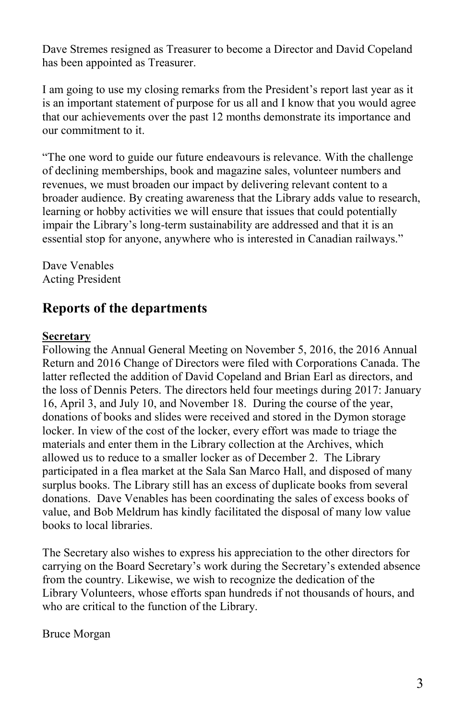Dave Stremes resigned as Treasurer to become a Director and David Copeland has been appointed as Treasurer.

I am going to use my closing remarks from the President's report last year as it is an important statement of purpose for us all and I know that you would agree that our achievements over the past 12 months demonstrate its importance and our commitment to it.

"The one word to guide our future endeavours is relevance. With the challenge of declining memberships, book and magazine sales, volunteer numbers and revenues, we must broaden our impact by delivering relevant content to a broader audience. By creating awareness that the Library adds value to research, learning or hobby activities we will ensure that issues that could potentially impair the Library's long-term sustainability are addressed and that it is an essential stop for anyone, anywhere who is interested in Canadian railways."

Dave Venables Acting President

# **Reports of the departments**

### **Secretary**

Following the Annual General Meeting on November 5, 2016, the 2016 Annual Return and 2016 Change of Directors were filed with Corporations Canada. The latter reflected the addition of David Copeland and Brian Earl as directors, and the loss of Dennis Peters. The directors held four meetings during 2017: January 16, April 3, and July 10, and November 18. During the course of the year, donations of books and slides were received and stored in the Dymon storage locker. In view of the cost of the locker, every effort was made to triage the materials and enter them in the Library collection at the Archives, which allowed us to reduce to a smaller locker as of December 2. The Library participated in a flea market at the Sala San Marco Hall, and disposed of many surplus books. The Library still has an excess of duplicate books from several donations. Dave Venables has been coordinating the sales of excess books of value, and Bob Meldrum has kindly facilitated the disposal of many low value books to local libraries.

The Secretary also wishes to express his appreciation to the other directors for carrying on the Board Secretary's work during the Secretary's extended absence from the country. Likewise, we wish to recognize the dedication of the Library Volunteers, whose efforts span hundreds if not thousands of hours, and who are critical to the function of the Library.

Bruce Morgan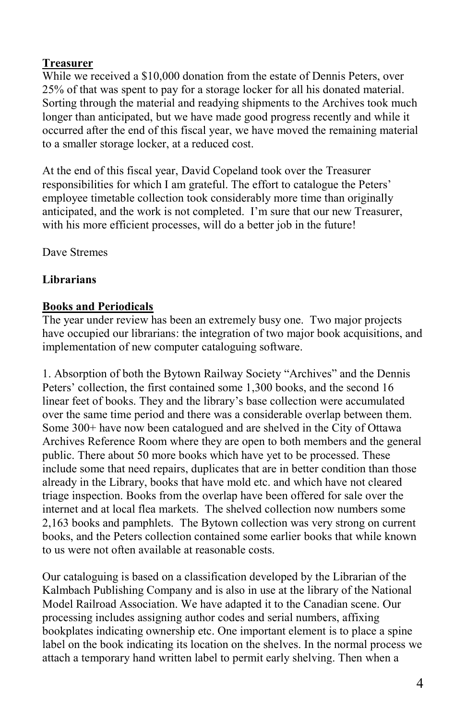### **Treasurer**

While we received a \$10,000 donation from the estate of Dennis Peters, over 25% of that was spent to pay for a storage locker for all his donated material. Sorting through the material and readying shipments to the Archives took much longer than anticipated, but we have made good progress recently and while it occurred after the end of this fiscal year, we have moved the remaining material to a smaller storage locker, at a reduced cost.

At the end of this fiscal year, David Copeland took over the Treasurer responsibilities for which I am grateful. The effort to catalogue the Peters' employee timetable collection took considerably more time than originally anticipated, and the work is not completed. I'm sure that our new Treasurer, with his more efficient processes, will do a better job in the future!

Dave Stremes

## **Librarians**

### **Books and Periodicals**

The year under review has been an extremely busy one. Two major projects have occupied our librarians: the integration of two major book acquisitions, and implementation of new computer cataloguing software.

1. Absorption of both the Bytown Railway Society "Archives" and the Dennis Peters' collection, the first contained some 1,300 books, and the second 16 linear feet of books. They and the library's base collection were accumulated over the same time period and there was a considerable overlap between them. Some 300+ have now been catalogued and are shelved in the City of Ottawa Archives Reference Room where they are open to both members and the general public. There about 50 more books which have yet to be processed. These include some that need repairs, duplicates that are in better condition than those already in the Library, books that have mold etc. and which have not cleared triage inspection. Books from the overlap have been offered for sale over the internet and at local flea markets. The shelved collection now numbers some 2,163 books and pamphlets. The Bytown collection was very strong on current books, and the Peters collection contained some earlier books that while known to us were not often available at reasonable costs.

Our cataloguing is based on a classification developed by the Librarian of the Kalmbach Publishing Company and is also in use at the library of the National Model Railroad Association. We have adapted it to the Canadian scene. Our processing includes assigning author codes and serial numbers, affixing bookplates indicating ownership etc. One important element is to place a spine label on the book indicating its location on the shelves. In the normal process we attach a temporary hand written label to permit early shelving. Then when a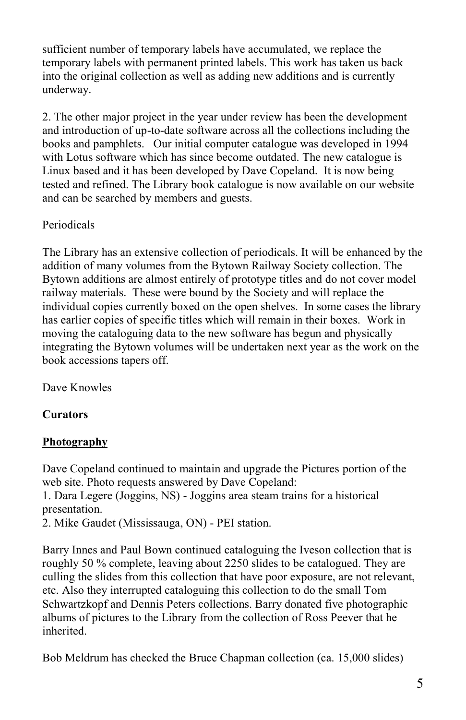sufficient number of temporary labels have accumulated, we replace the temporary labels with permanent printed labels. This work has taken us back into the original collection as well as adding new additions and is currently underway.

2. The other major project in the year under review has been the development and introduction of up-to-date software across all the collections including the books and pamphlets. Our initial computer catalogue was developed in 1994 with Lotus software which has since become outdated. The new catalogue is Linux based and it has been developed by Dave Copeland. It is now being tested and refined. The Library book catalogue is now available on our website and can be searched by members and guests.

## Periodicals

The Library has an extensive collection of periodicals. It will be enhanced by the addition of many volumes from the Bytown Railway Society collection. The Bytown additions are almost entirely of prototype titles and do not cover model railway materials. These were bound by the Society and will replace the individual copies currently boxed on the open shelves. In some cases the library has earlier copies of specific titles which will remain in their boxes. Work in moving the cataloguing data to the new software has begun and physically integrating the Bytown volumes will be undertaken next year as the work on the book accessions tapers off.

Dave Knowles

## **Curators**

### **Photography**

Dave Copeland continued to maintain and upgrade the Pictures portion of the web site. Photo requests answered by Dave Copeland:

1. Dara Legere (Joggins, NS) - Joggins area steam trains for a historical presentation.

2. Mike Gaudet (Mississauga, ON) - PEI station.

Barry Innes and Paul Bown continued cataloguing the Iveson collection that is roughly 50 % complete, leaving about 2250 slides to be catalogued. They are culling the slides from this collection that have poor exposure, are not relevant, etc. Also they interrupted cataloguing this collection to do the small Tom Schwartzkopf and Dennis Peters collections. Barry donated five photographic albums of pictures to the Library from the collection of Ross Peever that he inherited.

Bob Meldrum has checked the Bruce Chapman collection (ca. 15,000 slides)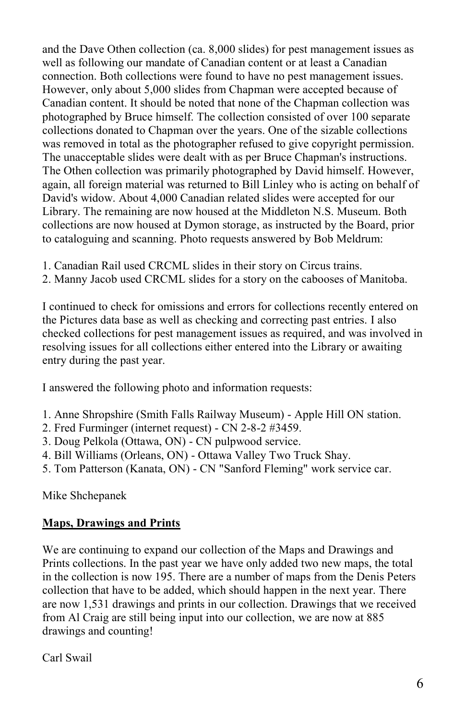and the Dave Othen collection (ca. 8,000 slides) for pest management issues as well as following our mandate of Canadian content or at least a Canadian connection. Both collections were found to have no pest management issues. However, only about 5,000 slides from Chapman were accepted because of Canadian content. It should be noted that none of the Chapman collection was photographed by Bruce himself. The collection consisted of over 100 separate collections donated to Chapman over the years. One of the sizable collections was removed in total as the photographer refused to give copyright permission. The unacceptable slides were dealt with as per Bruce Chapman's instructions. The Othen collection was primarily photographed by David himself. However, again, all foreign material was returned to Bill Linley who is acting on behalf of David's widow. About 4,000 Canadian related slides were accepted for our Library. The remaining are now housed at the Middleton N.S. Museum. Both collections are now housed at Dymon storage, as instructed by the Board, prior to cataloguing and scanning. Photo requests answered by Bob Meldrum:

- 1. Canadian Rail used CRCML slides in their story on Circus trains.
- 2. Manny Jacob used CRCML slides for a story on the cabooses of Manitoba.

I continued to check for omissions and errors for collections recently entered on the Pictures data base as well as checking and correcting past entries. I also checked collections for pest management issues as required, and was involved in resolving issues for all collections either entered into the Library or awaiting entry during the past year.

I answered the following photo and information requests:

- 1. Anne Shropshire (Smith Falls Railway Museum) Apple Hill ON station.
- 2. Fred Furminger (internet request) CN 2-8-2 #3459.
- 3. Doug Pelkola (Ottawa, ON) CN pulpwood service.
- 4. Bill Williams (Orleans, ON) Ottawa Valley Two Truck Shay.
- 5. Tom Patterson (Kanata, ON) CN "Sanford Fleming" work service car.

Mike Shchepanek

#### **Maps, Drawings and Prints**

We are continuing to expand our collection of the Maps and Drawings and Prints collections. In the past year we have only added two new maps, the total in the collection is now 195. There are a number of maps from the Denis Peters collection that have to be added, which should happen in the next year. There are now 1,531 drawings and prints in our collection. Drawings that we received from Al Craig are still being input into our collection, we are now at 885 drawings and counting!

Carl Swail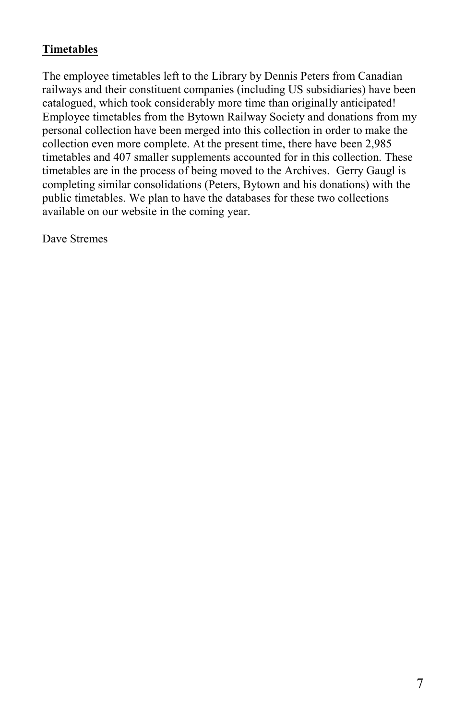## **Timetables**

The employee timetables left to the Library by Dennis Peters from Canadian railways and their constituent companies (including US subsidiaries) have been catalogued, which took considerably more time than originally anticipated! Employee timetables from the Bytown Railway Society and donations from my personal collection have been merged into this collection in order to make the collection even more complete. At the present time, there have been 2,985 timetables and 407 smaller supplements accounted for in this collection. These timetables are in the process of being moved to the Archives. Gerry Gaugl is completing similar consolidations (Peters, Bytown and his donations) with the public timetables. We plan to have the databases for these two collections available on our website in the coming year.

Dave Stremes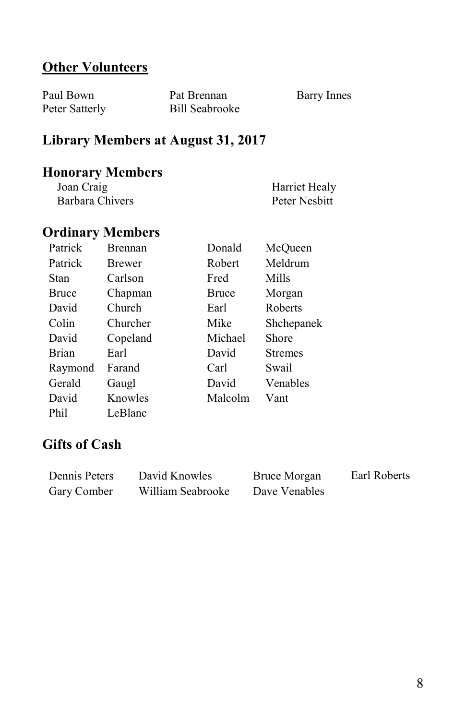# **Other Volunteers**

| Paul Bown      | Pat Brennan    | Barry Innes |
|----------------|----------------|-------------|
| Peter Satterly | Bill Seabrooke |             |

# **Library Members at August 31, 2017**

# **Honorary Members**

| Joan Craig      | Harriet Healy |
|-----------------|---------------|
| Barbara Chivers | Peter Nesbitt |

# **Ordinary Members**

| Patrick      | <b>Brennan</b> | Donald       | McOueen        |
|--------------|----------------|--------------|----------------|
| Patrick      | <b>Brewer</b>  | Robert       | Meldrum        |
| Stan         | Carlson        | Fred         | Mills          |
| <b>Bruce</b> | Chapman        | <b>Bruce</b> | Morgan         |
| David        | Church         | Earl         | Roberts        |
| Colin        | Churcher       | Mike         | Shchepanek     |
| David        | Copeland       | Michael      | Shore          |
| Brian        | Earl           | David        | <b>Stremes</b> |
| Raymond      | Farand         | Carl         | Swail          |
| Gerald       | Gaugl          | David        | Venables       |
| David        | Knowles        | Malcolm      | Vant           |
| Phil         | LeBlanc        |              |                |

# **Gifts of Cash**

| Dennis Peters | David Knowles     | Bruce Morgan  | Earl Roberts |
|---------------|-------------------|---------------|--------------|
| Gary Comber   | William Seabrooke | Dave Venables |              |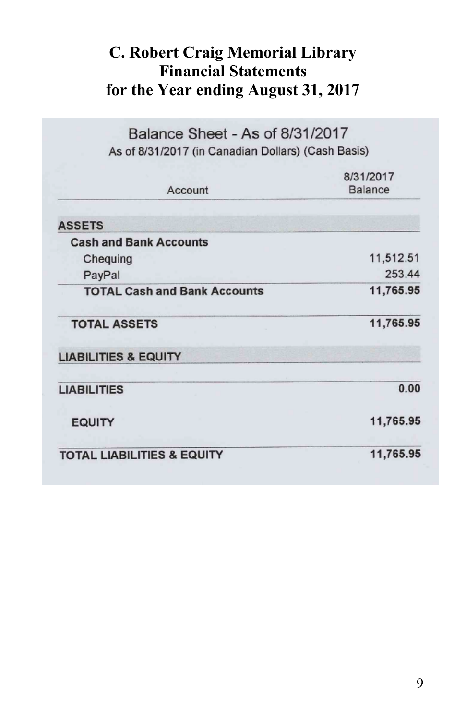# **C. Robert Craig Memorial Library Financial Statements for the Year ending August 31, 2017**

| Balance Sheet - As of 8/31/2017<br>As of 8/31/2017 (in Canadian Dollars) (Cash Basis) |                      |  |
|---------------------------------------------------------------------------------------|----------------------|--|
| Account                                                                               | 8/31/2017<br>Balance |  |
| <b>ASSETS</b>                                                                         |                      |  |
| <b>Cash and Bank Accounts</b>                                                         |                      |  |
| Chequing                                                                              | 11,512.51            |  |
| PayPal                                                                                | 253.44               |  |
| <b>TOTAL Cash and Bank Accounts</b>                                                   | 11,765.95            |  |
| <b>TOTAL ASSETS</b>                                                                   | 11,765.95            |  |
| <b>LIABILITIES &amp; EQUITY</b>                                                       |                      |  |
| <b>LIABILITIES</b>                                                                    | 0.00                 |  |
| <b>EQUITY</b>                                                                         | 11,765.95            |  |
| <b>TOTAL LIABILITIES &amp; EQUITY</b>                                                 | 11,765.95            |  |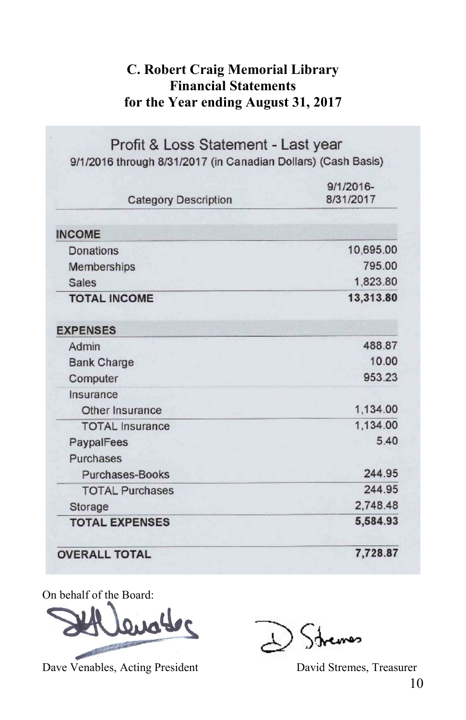# **C. Robert Craig Memorial Library Financial Statements for the Year ending August 31, 2017**

Profit & Loss Statement - Last year 9/1/2016 through 8/31/2017 (in Canadian Dollars) (Cash Basis)

| <b>Category Description</b> | $9/1/2016 -$<br>8/31/2017 |  |
|-----------------------------|---------------------------|--|
| <b>INCOME</b>               |                           |  |
| Donations                   | 10,695.00                 |  |
| Memberships                 | 795.00                    |  |
| Sales                       | 1,823.80                  |  |
| <b>TOTAL INCOME</b>         | 13,313.80                 |  |
| <b>EXPENSES</b>             |                           |  |
| Admin                       | 488.87                    |  |
| <b>Bank Charge</b>          | 10.00                     |  |
| Computer                    | 953.23                    |  |
| Insurance                   |                           |  |
| Other Insurance             | 1,134.00                  |  |
| <b>TOTAL</b> Insurance      | 1,134.00                  |  |
| PaypalFees                  | 5.40                      |  |
| Purchases                   |                           |  |
| Purchases-Books             | 244.95                    |  |
| <b>TOTAL Purchases</b>      | 244.95                    |  |
| Storage                     | 2,748.48                  |  |
| <b>TOTAL EXPENSES</b>       | 5,584.93                  |  |
| <b>OVERALL TOTAL</b>        | 7,728.87                  |  |

On behalf of the Board:



Dave Venables, Acting President David Stremes, Treasurer

مصمد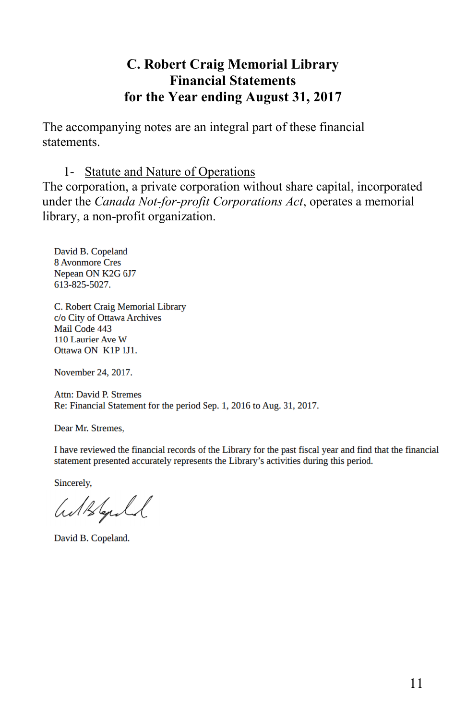# **C. Robert Craig Memorial Library Financial Statements for the Year ending August 31, 2017**

The accompanying notes are an integral part of these financial statements.

### 1- Statute and Nature of Operations

The corporation, a private corporation without share capital, incorporated under the *Canada Not-for-profit Corporations Act*, operates a memorial library, a non-profit organization.

David B. Copeland **8 Avonmore Cres** Nepean ON K2G 6J7 613-825-5027.

C. Robert Craig Memorial Library c/o City of Ottawa Archives Mail Code 443 110 Laurier Ave W Ottawa ON K1P 1J1.

November 24, 2017.

**Attn: David P. Stremes** Re: Financial Statement for the period Sep. 1, 2016 to Aug. 31, 2017.

Dear Mr. Stremes,

I have reviewed the financial records of the Library for the past fiscal year and find that the financial statement presented accurately represents the Library's activities during this period.

Sincerely,

Withfold

David B. Copeland.